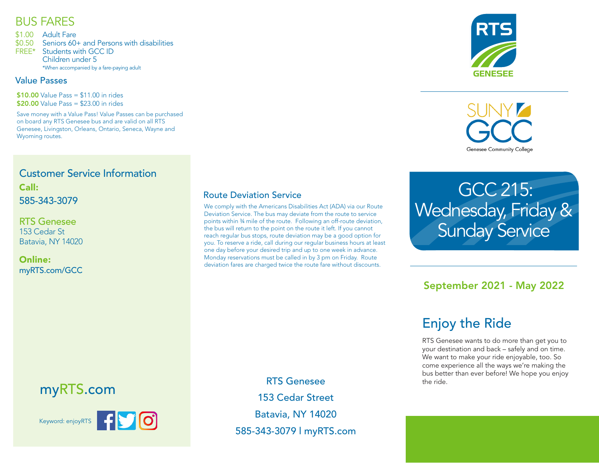### BUS FARES

\$1.00 Adult Fare

\$0.50 Seniors 60+ and Persons with disabilities

FREE\* Students with GCC ID Children under 5 \*When accompanied by a fare-paying adult

#### Value Passes

 $$10.00$  Value Pass =  $$11.00$  in rides \$20.00 Value Pass = \$23.00 in rides

Save money with a Value Pass! Value Passes can be purchased on board any RTS Genesee bus and are valid on all RTS Genesee, Livingston, Orleans, Ontario, Seneca, Wayne and Wyoming routes.



**Genesee Community College** 

#### Customer Service Information Call: 585-343-3079

RTS Genesee 153 Cedar St Batavia, NY 14020

Online: myRTS.com/GCC

#### Route Deviation Service

We comply with the Americans Disabilities Act (ADA) via our Route Deviation Service. The bus may deviate from the route to service points within ¾ mile of the route. Following an off-route deviation, the bus will return to the point on the route it left. If you cannot reach regular bus stops, route deviation may be a good option for you. To reserve a ride, call during our regular business hours at least one day before your desired trip and up to one week in advance. Monday reservations must be called in by 3 pm on Friday. Route deviation fares are charged twice the route fare without discounts.

> RTS Genesee 153 Cedar Street Batavia, NY 14020 585-343-3079 l myRTS.com

 GCC 215: Wednesday, Friday & **Sunday Service** 

### September 2021 - May 2022

# Enjoy the Ride

RTS Genesee wants to do more than get you to your destination and back – safely and on time. We want to make your ride enjoyable, too. So come experience all the ways we're making the bus better than ever before! We hope you enjoy the ride.

## myRTS.com



Keyword: enjoyRTS